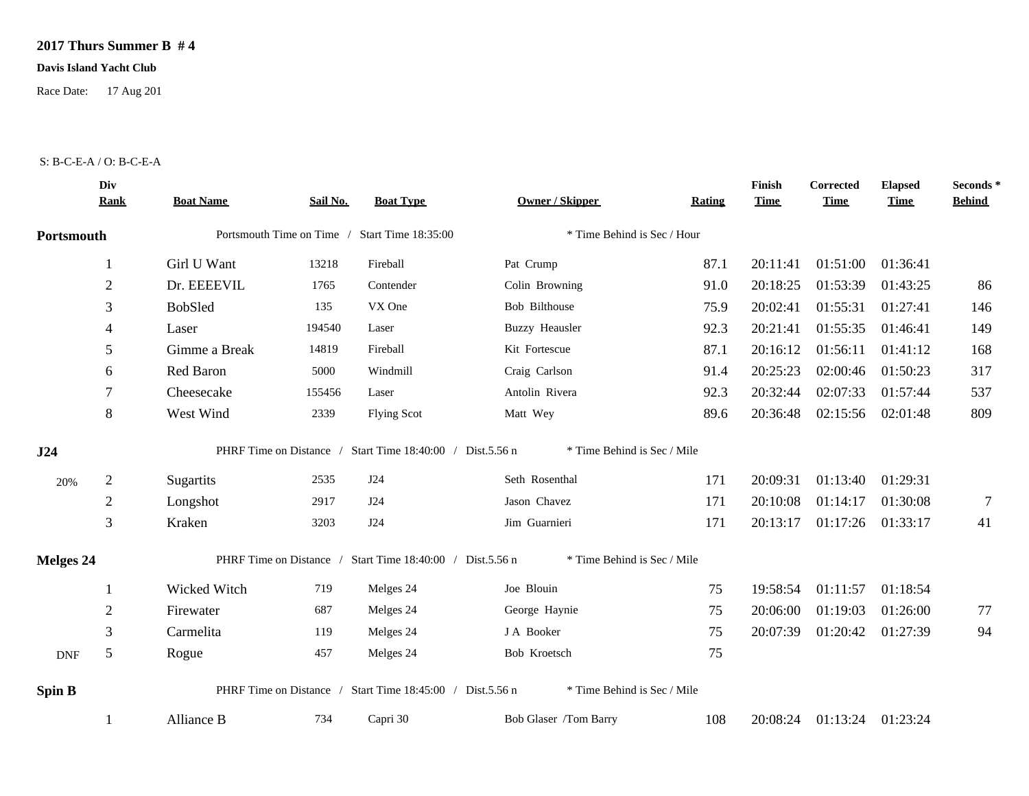## **2017 Thurs Summer B # 4**

## **Davis Island Yacht Club**

Race Date: 17 Aug 201

## S: B-C-E-A / O: B-C-E-A

| Div<br><b>Rank</b> | <b>Boat Name</b> | Sail No. | <b>Boat Type</b> | <b>Owner / Skipper</b>                        | Rating                                                                                                                                                                              | Finish<br><b>Time</b>                                                                                                    | Corrected<br><b>Time</b>                     | <b>Elapsed</b><br><b>Time</b> | Seconds*<br><b>Behind</b>    |
|--------------------|------------------|----------|------------------|-----------------------------------------------|-------------------------------------------------------------------------------------------------------------------------------------------------------------------------------------|--------------------------------------------------------------------------------------------------------------------------|----------------------------------------------|-------------------------------|------------------------------|
| Portsmouth         |                  |          |                  |                                               |                                                                                                                                                                                     |                                                                                                                          |                                              |                               |                              |
| 1                  | Girl U Want      | 13218    | Fireball         | Pat Crump                                     | 87.1                                                                                                                                                                                | 20:11:41                                                                                                                 | 01:51:00                                     | 01:36:41                      |                              |
| $\overline{2}$     | Dr. EEEEVIL      | 1765     | Contender        | Colin Browning                                | 91.0                                                                                                                                                                                | 20:18:25                                                                                                                 | 01:53:39                                     | 01:43:25                      | 86                           |
| 3                  | <b>BobSled</b>   | 135      | VX One           | Bob Bilthouse                                 | 75.9                                                                                                                                                                                | 20:02:41                                                                                                                 | 01:55:31                                     | 01:27:41                      | 146                          |
| 4                  | Laser            | 194540   | Laser            | <b>Buzzy Heausler</b>                         | 92.3                                                                                                                                                                                | 20:21:41                                                                                                                 | 01:55:35                                     | 01:46:41                      | 149                          |
| 5                  | Gimme a Break    | 14819    | Fireball         | Kit Fortescue                                 | 87.1                                                                                                                                                                                |                                                                                                                          | 01:56:11                                     | 01:41:12                      | 168                          |
| 6                  | Red Baron        | 5000     | Windmill         | Craig Carlson                                 | 91.4                                                                                                                                                                                | 20:25:23                                                                                                                 | 02:00:46                                     | 01:50:23                      | 317                          |
| 7                  | Cheesecake       | 155456   | Laser            | Antolin Rivera                                | 92.3                                                                                                                                                                                | 20:32:44                                                                                                                 | 02:07:33                                     | 01:57:44                      | 537                          |
| 8                  | West Wind        | 2339     | Flying Scot      | Matt Wey                                      | 89.6                                                                                                                                                                                |                                                                                                                          | 02:15:56                                     | 02:01:48                      | 809                          |
|                    |                  |          |                  |                                               |                                                                                                                                                                                     |                                                                                                                          |                                              |                               |                              |
| $\sqrt{2}$         | Sugartits        | 2535     | J24              | Seth Rosenthal                                | 171                                                                                                                                                                                 | 20:09:31                                                                                                                 | 01:13:40                                     | 01:29:31                      |                              |
| $\mathbf{2}$       | Longshot         | 2917     | J24              | Jason Chavez                                  | 171                                                                                                                                                                                 | 20:10:08                                                                                                                 | 01:14:17                                     | 01:30:08                      | $\overline{7}$               |
| 3                  | Kraken           | 3203     | J24              | Jim Guarnieri                                 | 171                                                                                                                                                                                 | 20:13:17                                                                                                                 | 01:17:26                                     | 01:33:17                      | 41                           |
| <b>Melges 24</b>   |                  |          |                  |                                               |                                                                                                                                                                                     |                                                                                                                          |                                              |                               |                              |
| 1                  | Wicked Witch     | 719      | Melges 24        | Joe Blouin                                    | 75                                                                                                                                                                                  | 19:58:54                                                                                                                 | 01:11:57                                     | 01:18:54                      |                              |
| $\overline{2}$     | Firewater        | 687      | Melges 24        | George Haynie                                 | 75                                                                                                                                                                                  |                                                                                                                          | 01:19:03                                     | 01:26:00                      | 77                           |
| 3                  | Carmelita        | 119      | Melges 24        | J A Booker                                    | 75                                                                                                                                                                                  |                                                                                                                          | 01:20:42                                     | 01:27:39                      | 94                           |
| 5                  | Rogue            | 457      | Melges 24        | Bob Kroetsch                                  | 75                                                                                                                                                                                  |                                                                                                                          |                                              |                               |                              |
|                    |                  |          |                  |                                               |                                                                                                                                                                                     |                                                                                                                          |                                              |                               |                              |
|                    | Alliance B       | 734      | Capri 30         | Bob Glaser /Tom Barry                         | 108                                                                                                                                                                                 |                                                                                                                          |                                              |                               |                              |
|                    |                  |          |                  | Portsmouth Time on Time / Start Time 18:35:00 | PHRF Time on Distance / Start Time 18:40:00 / Dist.5.56 n<br>PHRF Time on Distance / Start Time 18:40:00 / Dist.5.56 n<br>PHRF Time on Distance / Start Time 18:45:00 / Dist.5.56 n | * Time Behind is Sec / Hour<br>* Time Behind is Sec / Mile<br>* Time Behind is Sec / Mile<br>* Time Behind is Sec / Mile | 20:16:12<br>20:36:48<br>20:06:00<br>20:07:39 |                               | 20:08:24  01:13:24  01:23:24 |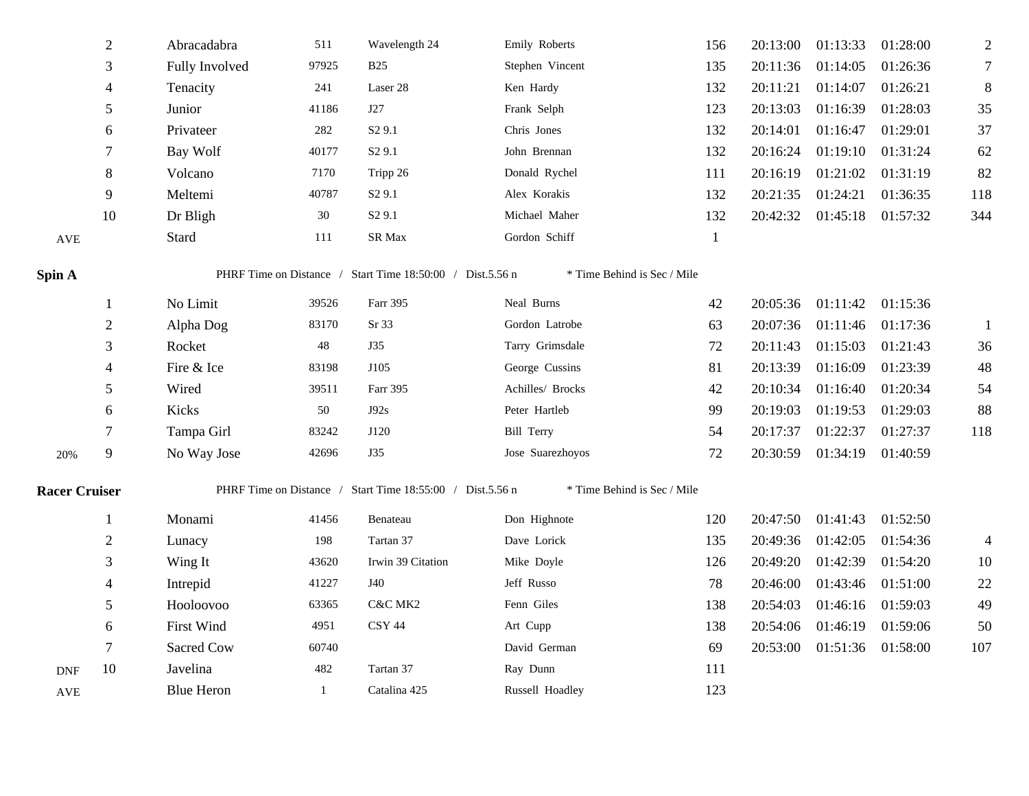|                      | $\overline{c}$           | Abracadabra       | 511          | Wavelength 24                                             | Emily Roberts               | 156 | 20:13:00 | 01:13:33 | 01:28:00 | $\sqrt{2}$     |
|----------------------|--------------------------|-------------------|--------------|-----------------------------------------------------------|-----------------------------|-----|----------|----------|----------|----------------|
|                      | 3                        | Fully Involved    | 97925        | <b>B25</b>                                                | Stephen Vincent             | 135 | 20:11:36 | 01:14:05 | 01:26:36 | $\tau$         |
|                      | $\overline{\mathcal{A}}$ | Tenacity          | 241          | Laser 28                                                  | Ken Hardy                   | 132 | 20:11:21 | 01:14:07 | 01:26:21 | $\,8\,$        |
|                      | 5                        | Junior            | 41186        | J27                                                       | Frank Selph                 | 123 | 20:13:03 | 01:16:39 | 01:28:03 | 35             |
|                      | 6                        | Privateer         | 282          | S <sub>2</sub> 9.1                                        | Chris Jones                 | 132 | 20:14:01 | 01:16:47 | 01:29:01 | 37             |
|                      | $\tau$                   | Bay Wolf          | 40177        | S <sub>2</sub> 9.1                                        | John Brennan                | 132 | 20:16:24 | 01:19:10 | 01:31:24 | 62             |
|                      | $\,8\,$                  | Volcano           | 7170         | Tripp 26                                                  | Donald Rychel               | 111 | 20:16:19 | 01:21:02 | 01:31:19 | 82             |
|                      | 9                        | Meltemi           | 40787        | S <sub>2</sub> 9.1                                        | Alex Korakis                | 132 | 20:21:35 | 01:24:21 | 01:36:35 | 118            |
|                      | 10                       | Dr Bligh          | 30           | S <sub>2</sub> 9.1                                        | Michael Maher               | 132 | 20:42:32 | 01:45:18 | 01:57:32 | 344            |
| AVE                  |                          | Stard             | 111          | SR Max                                                    | Gordon Schiff               | 1   |          |          |          |                |
|                      |                          |                   |              |                                                           |                             |     |          |          |          |                |
| Spin A               |                          |                   |              | PHRF Time on Distance / Start Time 18:50:00 / Dist.5.56 n | * Time Behind is Sec / Mile |     |          |          |          |                |
|                      | 1                        | No Limit          | 39526        | Farr 395                                                  | Neal Burns                  | 42  | 20:05:36 | 01:11:42 | 01:15:36 |                |
|                      | $\overline{c}$           | Alpha Dog         | 83170        | Sr 33                                                     | Gordon Latrobe              | 63  | 20:07:36 | 01:11:46 | 01:17:36 | $\mathbf{1}$   |
|                      | $\mathfrak{Z}$           | Rocket            | 48           | <b>J35</b>                                                | Tarry Grimsdale             | 72  | 20:11:43 | 01:15:03 | 01:21:43 | $36\,$         |
|                      | $\overline{\mathcal{A}}$ | Fire & Ice        | 83198        | J105                                                      | George Cussins              | 81  | 20:13:39 | 01:16:09 | 01:23:39 | 48             |
|                      | $\sqrt{5}$               | Wired             | 39511        | Farr 395                                                  | Achilles/ Brocks            | 42  | 20:10:34 | 01:16:40 | 01:20:34 | 54             |
|                      | 6                        | Kicks             | 50           | J92s                                                      | Peter Hartleb               | 99  | 20:19:03 | 01:19:53 | 01:29:03 | 88             |
|                      | $\tau$                   | Tampa Girl        | 83242        | J120                                                      | <b>Bill Terry</b>           | 54  | 20:17:37 | 01:22:37 | 01:27:37 | 118            |
| 20%                  | 9                        | No Way Jose       | 42696        | <b>J35</b>                                                | Jose Suarezhoyos            | 72  | 20:30:59 | 01:34:19 | 01:40:59 |                |
| <b>Racer Cruiser</b> |                          |                   |              | PHRF Time on Distance / Start Time 18:55:00 / Dist.5.56 n | * Time Behind is Sec / Mile |     |          |          |          |                |
|                      | 1                        | Monami            | 41456        | Benateau                                                  | Don Highnote                | 120 | 20:47:50 | 01:41:43 | 01:52:50 |                |
|                      | $\overline{c}$           | Lunacy            | 198          | Tartan 37                                                 | Dave Lorick                 | 135 | 20:49:36 | 01:42:05 | 01:54:36 | $\overline{4}$ |
|                      | $\sqrt{3}$               | Wing It           | 43620        | Irwin 39 Citation                                         | Mike Doyle                  | 126 | 20:49:20 | 01:42:39 | 01:54:20 | $10\,$         |
|                      | $\overline{4}$           | Intrepid          | 41227        | J40                                                       | Jeff Russo                  | 78  | 20:46:00 | 01:43:46 | 01:51:00 | $22\,$         |
|                      | $\sqrt{5}$               | Hooloovoo         | 63365        | C&C MK2                                                   | Fenn Giles                  | 138 | 20:54:03 | 01:46:16 | 01:59:03 | 49             |
|                      | 6                        | First Wind        | 4951         | CSY <sub>44</sub>                                         | Art Cupp                    | 138 | 20:54:06 | 01:46:19 | 01:59:06 | 50             |
|                      | $\tau$                   | Sacred Cow        | 60740        |                                                           | David German                | 69  | 20:53:00 | 01:51:36 | 01:58:00 | 107            |
| <b>DNF</b>           | $10\,$                   | Javelina          | 482          | Tartan 37                                                 | Ray Dunn                    | 111 |          |          |          |                |
| AVE                  |                          | <b>Blue Heron</b> | $\mathbf{1}$ | Catalina 425                                              | Russell Hoadley             | 123 |          |          |          |                |
|                      |                          |                   |              |                                                           |                             |     |          |          |          |                |